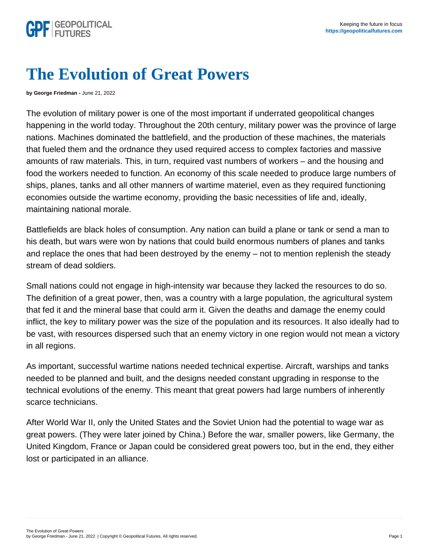## The Evolution of Great Powers

by George Friedman - June 21, 2022

The evolution of military power is one of the most important if underrated geopolitical changes happening in the world today. Throughout the 20th century, military power was the province of large nations. Machines dominated the battlefield, and the production of these machines, the materials that fueled them and the ordnance they used required access to complex factories and massive amounts of raw materials. This, in turn, required vast numbers of workers – and the housing and food the workers needed to function. An economy of this scale needed to produce large numbers of ships, planes, tanks and all other manners of wartime materiel, even as they required functioning economies outside the wartime economy, providing the basic necessities of life and, ideally, maintaining national morale.

Battlefields are black holes of consumption. Any nation can build a plane or tank or send a man to his death, but wars were won by nations that could build enormous numbers of planes and tanks and replace the ones that had been destroyed by the enemy – not to mention replenish the steady stream of dead soldiers.

Small nations could not engage in high-intensity war because they lacked the resources to do so. The definition of a great power, then, was a country with a large population, the agricultural system that fed it and the mineral base that could arm it. Given the deaths and damage the enemy could inflict, the key to military power was the size of the population and its resources. It also ideally had to be vast, with resources dispersed such that an enemy victory in one region would not mean a victory in all regions.

As important, successful wartime nations needed technical expertise. Aircraft, warships and tanks needed to be planned and built, and the designs needed constant upgrading in response to the technical evolutions of the enemy. This meant that great powers had large numbers of inherently scarce technicians.

After World War II, only the United States and the Soviet Union had the potential to wage war as great powers. (They were later joined by China.) Before the war, smaller powers, like Germany, the United Kingdom, France or Japan could be considered great powers too, but in the end, they either lost or participated in an alliance.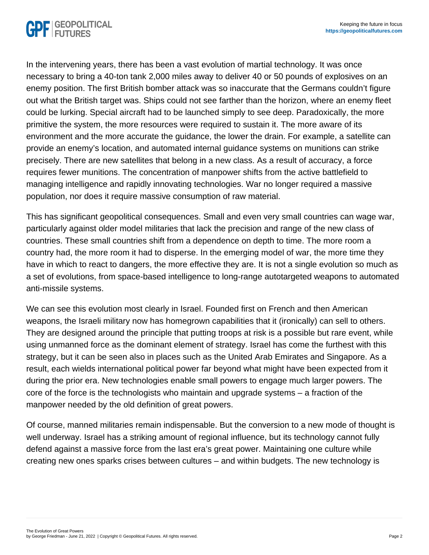In the intervening years, there has been a vast evolution of martial technology. It was once necessary to bring a 40-ton tank 2,000 miles away to deliver 40 or 50 pounds of explosives on an enemy position. The first British bomber attack was so inaccurate that the Germans couldn't figure out what the British target was. Ships could not see farther than the horizon, where an enemy fleet could be lurking. Special aircraft had to be launched simply to see deep. Paradoxically, the more primitive the system, the more resources were required to sustain it. The more aware of its environment and the more accurate the guidance, the lower the drain. For example, a satellite can provide an enemy's location, and automated internal guidance systems on munitions can strike precisely. There are new satellites that belong in a new class. As a result of accuracy, a force requires fewer munitions. The concentration of manpower shifts from the active battlefield to managing intelligence and rapidly innovating technologies. War no longer required a massive population, nor does it require massive consumption of raw material.

This has significant geopolitical consequences. Small and even very small countries can wage war, particularly against older model militaries that lack the precision and range of the new class of countries. These small countries shift from a dependence on depth to time. The more room a country had, the more room it had to disperse. In the emerging model of war, the more time they have in which to react to dangers, the more effective they are. It is not a single evolution so much as a set of evolutions, from space-based intelligence to long-range autotargeted weapons to automated anti-missile systems.

We can see this evolution most clearly in Israel. Founded first on French and then American weapons, the Israeli military now has homegrown capabilities that it (ironically) can sell to others. They are designed around the principle that putting troops at risk is a possible but rare event, while using unmanned force as the dominant element of strategy. Israel has come the furthest with this strategy, but it can be seen also in places such as the United Arab Emirates and Singapore. As a result, each wields international political power far beyond what might have been expected from it during the prior era. New technologies enable small powers to engage much larger powers. The core of the force is the technologists who maintain and upgrade systems – a fraction of the manpower needed by the old definition of great powers.

Of course, manned militaries remain indispensable. But the conversion to a new mode of thought is well underway. Israel has a striking amount of regional influence, but its technology cannot fully defend against a massive force from the last era's great power. Maintaining one culture while creating new ones sparks crises between cultures – and within budgets. The new technology is